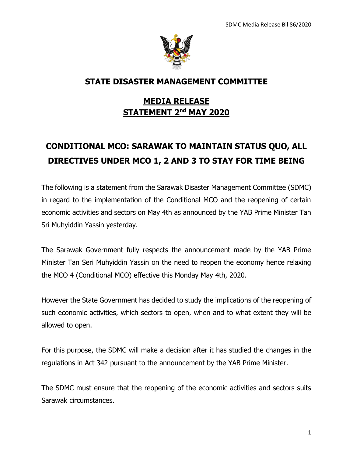

## **STATE DISASTER MANAGEMENT COMMITTEE**

## **MEDIA RELEASE STATEMENT 2 nd MAY 2020**

## **CONDITIONAL MCO: SARAWAK TO MAINTAIN STATUS QUO, ALL DIRECTIVES UNDER MCO 1, 2 AND 3 TO STAY FOR TIME BEING**

The following is a statement from the Sarawak Disaster Management Committee (SDMC) in regard to the implementation of the Conditional MCO and the reopening of certain economic activities and sectors on May 4th as announced by the YAB Prime Minister Tan Sri Muhyiddin Yassin yesterday.

The Sarawak Government fully respects the announcement made by the YAB Prime Minister Tan Seri Muhyiddin Yassin on the need to reopen the economy hence relaxing the MCO 4 (Conditional MCO) effective this Monday May 4th, 2020.

However the State Government has decided to study the implications of the reopening of such economic activities, which sectors to open, when and to what extent they will be allowed to open.

For this purpose, the SDMC will make a decision after it has studied the changes in the regulations in Act 342 pursuant to the announcement by the YAB Prime Minister.

The SDMC must ensure that the reopening of the economic activities and sectors suits Sarawak circumstances.